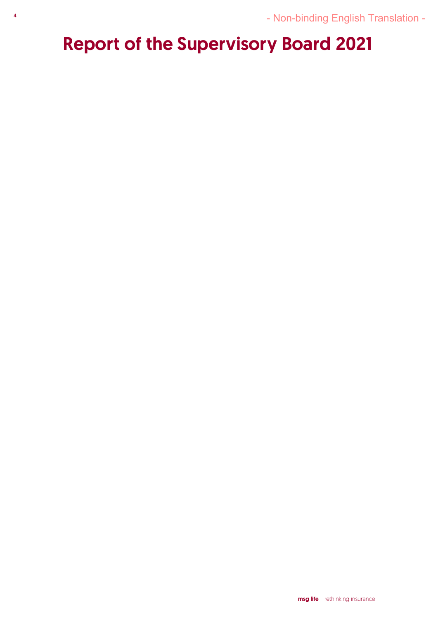# Report of the Supervisory Board 2021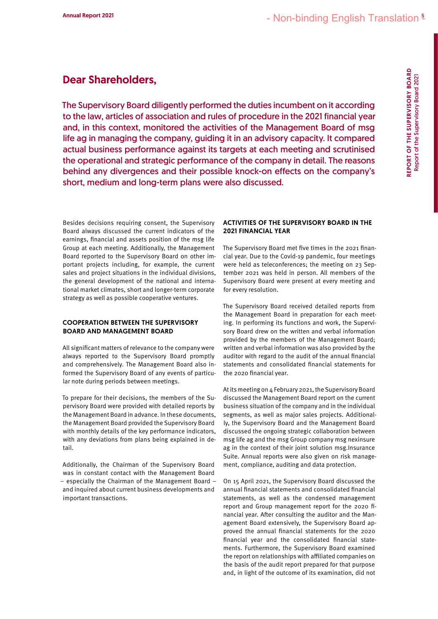# Dear Shareholders,

The Supervisory Board diligently performed the duties incumbent on it according to the law, articles of association and rules of procedure in the 2021 financial year and, in this context, monitored the activities of the Management Board of msg life ag in managing the company, guiding it in an advisory capacity. It compared actual business performance against its targets at each meeting and scrutinised the operational and strategic performance of the company in detail. The reasons behind any divergences and their possible knock-on effects on the company's short, medium and long-term plans were also discussed.

Besides decisions requiring consent, the Supervisory Board always discussed the current indicators of the earnings, financial and assets position of the msg life Group at each meeting. Additionally, the Management Board reported to the Supervisory Board on other important projects including, for example, the current sales and project situations in the individual divisions, the general development of the national and international market climates, short and longer-term corporate strategy as well as possible cooperative ventures.

# COOPERATION BETWEEN THE SUPERVISORY BOARD AND MANAGEMENT BOARD

All significant matters of relevance to the company were always reported to the Supervisory Board promptly and comprehensively. The Management Board also informed the Supervisory Board of any events of particular note during periods between meetings.

To prepare for their decisions, the members of the Supervisory Board were provided with detailed reports by the Management Board in advance. In these documents, the Management Board provided the Supervisory Board with monthly details of the key performance indicators, with any deviations from plans being explained in detail.

Additionally, the Chairman of the Supervisory Board was in constant contact with the Management Board – especially the Chairman of the Management Board – and inquired about current business developments and important transactions.

#### ACTIVITIES OF THE SUPERVISORY BOARD IN THE 2021 FINANCIAL YEAR

The Supervisory Board met five times in the 2021 financial year. Due to the Covid-19 pandemic, four meetings were held as teleconferences; the meeting on 23 September 2021 was held in person. All members of the Supervisory Board were present at every meeting and for every resolution.

The Supervisory Board received detailed reports from the Management Board in preparation for each meeting. In performing its functions and work, the Supervisory Board drew on the written and verbal information provided by the members of the Management Board; written and verbal information was also provided by the auditor with regard to the audit of the annual financial statements and consolidated financial statements for the 2020 financial year.

At its meeting on 4 February 2021, the Supervisory Board discussed the Management Board report on the current business situation of the company and in the individual segments, as well as major sales projects. Additionally, the Supervisory Board and the Management Board discussed the ongoing strategic collaboration between msg life ag and the msg Group company msg nexinsure ag in the context of their joint solution msg.Insurance Suite. Annual reports were also given on risk management, compliance, auditing and data protection.

On 15 April 2021, the Supervisory Board discussed the annual financial statements and consolidated financial statements, as well as the condensed management report and Group management report for the 2020 financial year. After consulting the auditor and the Management Board extensively, the Supervisory Board approved the annual financial statements for the 2020 financial year and the consolidated financial statements. Furthermore, the Supervisory Board examined the report on relationships with affiliated companies on the basis of the audit report prepared for that purpose and, in light of the outcome of its examination, did not